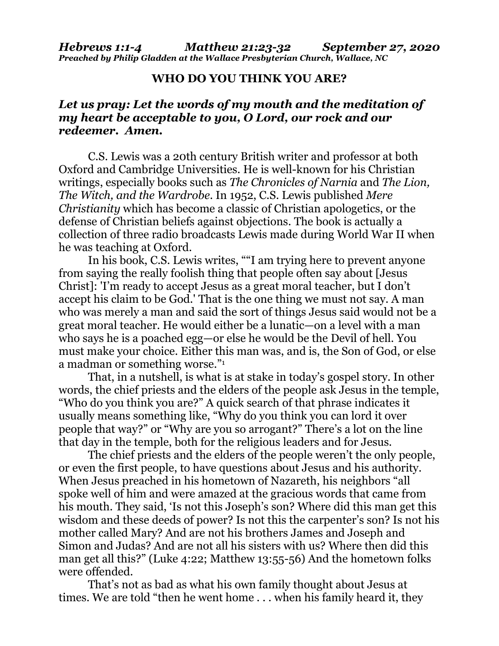## **WHO DO YOU THINK YOU ARE?**

## *Let us pray: Let the words of my mouth and the meditation of my heart be acceptable to you, O Lord, our rock and our redeemer. Amen.*

C.S. Lewis was a 20th century British writer and professor at both Oxford and Cambridge Universities. He is well-known for his Christian writings, especially books such as *The Chronicles of Narnia* and *The Lion, The Witch, and the Wardrobe*. In 1952, C.S. Lewis published *Mere Christianity* which has become a classic of Christian apologetics, or the defense of Christian beliefs against objections. The book is actually a collection of three radio broadcasts Lewis made during World War II when he was teaching at Oxford.

In his book, C.S. Lewis writes, ""I am trying here to prevent anyone from saying the really foolish thing that people often say about [Jesus Christ]: 'I'm ready to accept Jesus as a great moral teacher, but I don't accept his claim to be God.' That is the one thing we must not say. A man who was merely a man and said the sort of things Jesus said would not be a great moral teacher. He would either be a lunatic—on a level with a man who says he is a poached egg—or else he would be the Devil of hell. You must make your choice. Either this man was, and is, the Son of God, or else a madman or something worse."<sup>1</sup>

That, in a nutshell, is what is at stake in today's gospel story. In other words, the chief priests and the elders of the people ask Jesus in the temple, "Who do you think you are?" A quick search of that phrase indicates it usually means something like, "Why do you think you can lord it over people that way?" or "Why are you so arrogant?" There's a lot on the line that day in the temple, both for the religious leaders and for Jesus.

The chief priests and the elders of the people weren't the only people, or even the first people, to have questions about Jesus and his authority. When Jesus preached in his hometown of Nazareth, his neighbors "all spoke well of him and were amazed at the gracious words that came from his mouth. They said, 'Is not this Joseph's son? Where did this man get this wisdom and these deeds of power? Is not this the carpenter's son? Is not his mother called Mary? And are not his brothers James and Joseph and Simon and Judas? And are not all his sisters with us? Where then did this man get all this?" (Luke 4:22; Matthew 13:55-56) And the hometown folks were offended.

That's not as bad as what his own family thought about Jesus at times. We are told "then he went home . . . when his family heard it, they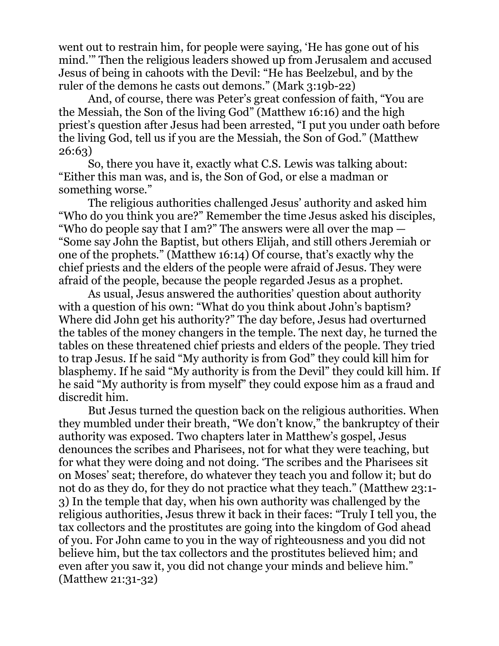went out to restrain him, for people were saying, 'He has gone out of his mind.'" Then the religious leaders showed up from Jerusalem and accused Jesus of being in cahoots with the Devil: "He has Beelzebul, and by the ruler of the demons he casts out demons." (Mark 3:19b-22)

And, of course, there was Peter's great confession of faith, "You are the Messiah, the Son of the living God" (Matthew 16:16) and the high priest's question after Jesus had been arrested, "I put you under oath before the living God, tell us if you are the Messiah, the Son of God." (Matthew 26:63)

So, there you have it, exactly what C.S. Lewis was talking about: "Either this man was, and is, the Son of God, or else a madman or something worse."

The religious authorities challenged Jesus' authority and asked him "Who do you think you are?" Remember the time Jesus asked his disciples, "Who do people say that I am?" The answers were all over the map — "Some say John the Baptist, but others Elijah, and still others Jeremiah or one of the prophets." (Matthew 16:14) Of course, that's exactly why the chief priests and the elders of the people were afraid of Jesus. They were afraid of the people, because the people regarded Jesus as a prophet.

As usual, Jesus answered the authorities' question about authority with a question of his own: "What do you think about John's baptism? Where did John get his authority?" The day before, Jesus had overturned the tables of the money changers in the temple. The next day, he turned the tables on these threatened chief priests and elders of the people. They tried to trap Jesus. If he said "My authority is from God" they could kill him for blasphemy. If he said "My authority is from the Devil" they could kill him. If he said "My authority is from myself" they could expose him as a fraud and discredit him.

But Jesus turned the question back on the religious authorities. When they mumbled under their breath, "We don't know," the bankruptcy of their authority was exposed. Two chapters later in Matthew's gospel, Jesus denounces the scribes and Pharisees, not for what they were teaching, but for what they were doing and not doing. 'The scribes and the Pharisees sit on Moses' seat; therefore, do whatever they teach you and follow it; but do not do as they do, for they do not practice what they teach." (Matthew 23:1- 3) In the temple that day, when his own authority was challenged by the religious authorities, Jesus threw it back in their faces: "Truly I tell you, the tax collectors and the prostitutes are going into the kingdom of God ahead of you. For John came to you in the way of righteousness and you did not believe him, but the tax collectors and the prostitutes believed him; and even after you saw it, you did not change your minds and believe him." (Matthew 21:31-32)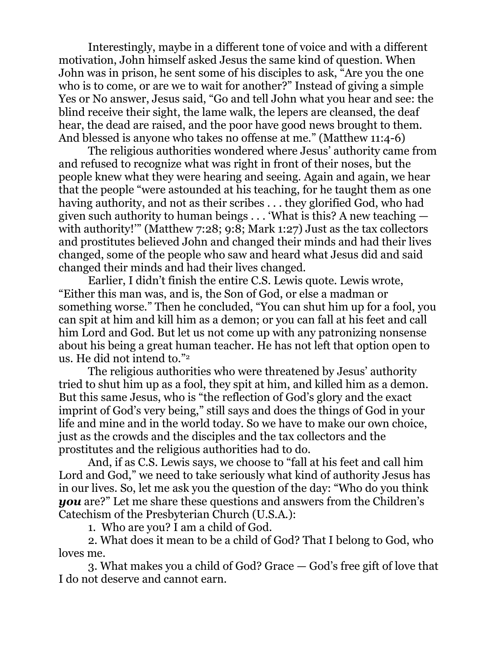Interestingly, maybe in a different tone of voice and with a different motivation, John himself asked Jesus the same kind of question. When John was in prison, he sent some of his disciples to ask, "Are you the one who is to come, or are we to wait for another?" Instead of giving a simple Yes or No answer, Jesus said, "Go and tell John what you hear and see: the blind receive their sight, the lame walk, the lepers are cleansed, the deaf hear, the dead are raised, and the poor have good news brought to them. And blessed is anyone who takes no offense at me." (Matthew 11:4-6)

The religious authorities wondered where Jesus' authority came from and refused to recognize what was right in front of their noses, but the people knew what they were hearing and seeing. Again and again, we hear that the people "were astounded at his teaching, for he taught them as one having authority, and not as their scribes . . . they glorified God, who had given such authority to human beings . . . 'What is this? A new teaching with authority!" (Matthew 7:28; 9:8; Mark 1:27) Just as the tax collectors and prostitutes believed John and changed their minds and had their lives changed, some of the people who saw and heard what Jesus did and said changed their minds and had their lives changed.

Earlier, I didn't finish the entire C.S. Lewis quote. Lewis wrote, "Either this man was, and is, the Son of God, or else a madman or something worse." Then he concluded, "You can shut him up for a fool, you can spit at him and kill him as a demon; or you can fall at his feet and call him Lord and God. But let us not come up with any patronizing nonsense about his being a great human teacher. He has not left that option open to us. He did not intend to."<sup>2</sup>

The religious authorities who were threatened by Jesus' authority tried to shut him up as a fool, they spit at him, and killed him as a demon. But this same Jesus, who is "the reflection of God's glory and the exact imprint of God's very being," still says and does the things of God in your life and mine and in the world today. So we have to make our own choice, just as the crowds and the disciples and the tax collectors and the prostitutes and the religious authorities had to do.

And, if as C.S. Lewis says, we choose to "fall at his feet and call him Lord and God," we need to take seriously what kind of authority Jesus has in our lives. So, let me ask you the question of the day: "Who do you think *you* are?" Let me share these questions and answers from the Children's Catechism of the Presbyterian Church (U.S.A.):

1. Who are you? I am a child of God.

2. What does it mean to be a child of God? That I belong to God, who loves me.

3. What makes you a child of God? Grace — God's free gift of love that I do not deserve and cannot earn.